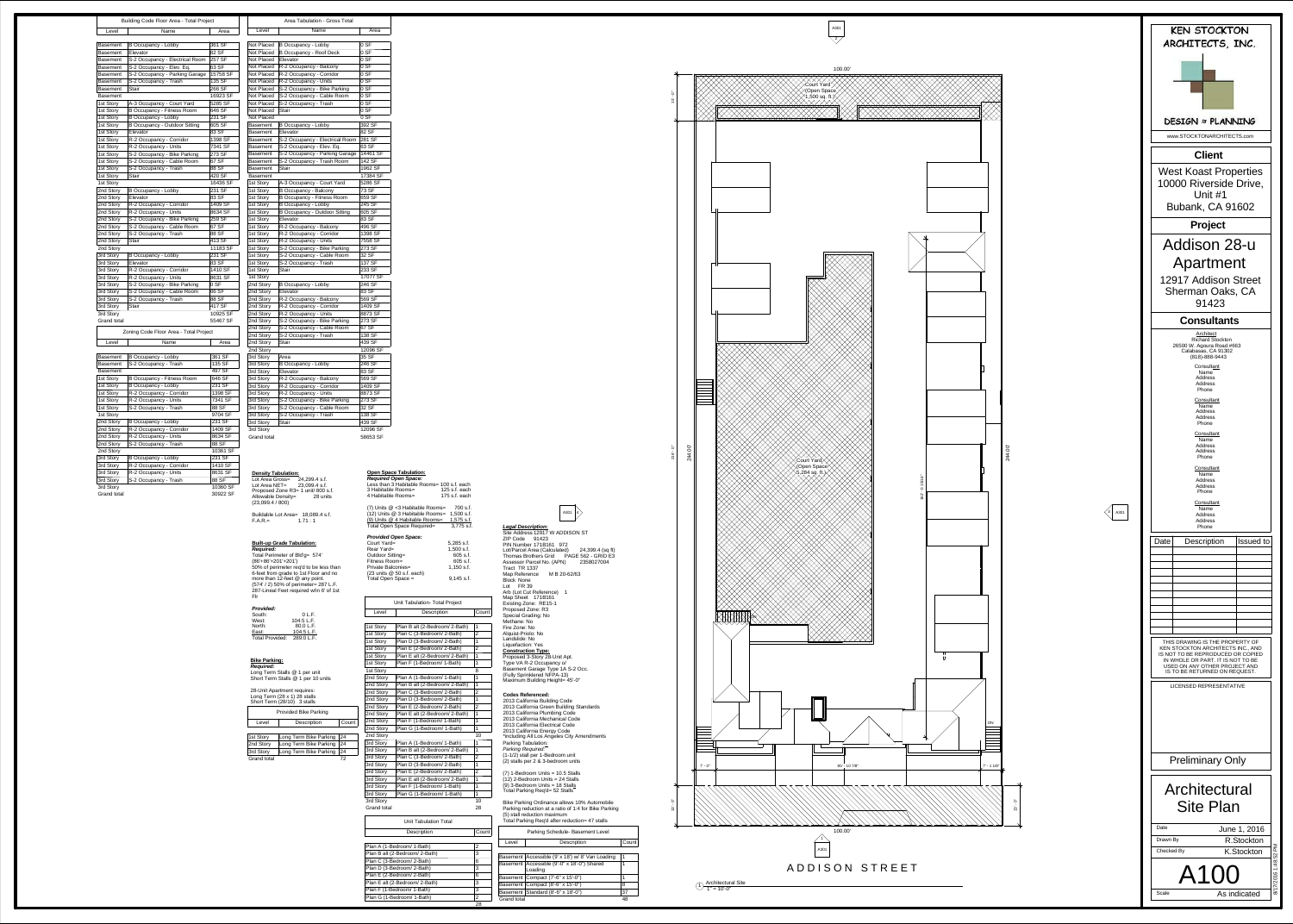

 $\underline{\text{1}}$  Architectural Site<br>1" = 10'-0"

(5) stall reduction maximum Total Parking Req'd after reduction= 47 stalls

## **Open Space Tabulation:**

#### -A301 4 *Legal Description:* Site Address 12917 W ADDISON ST ZIP Code 91423 PIN Number 171B161 972 Lot/Parcel Area (Calculated) 24,399.4 (sq ft) Thomas Brothers Grid PAGE 562 - GRID E3 Assessor Parcel No. (APN) 2358027004 Tract TR 1337Map Reference M B 20-62/63 Block None Lot FR 39 Arb (Lot Cut Reference) 1 Map Sheet 171B161 Existing Zone: RE15-1 Proposed Zone: R3 Special Grading: No Methane: No Fire Zone: No Alquist-Priolo: No Landslide: No Liquefaction: Yes **Parking Tabulation:** *Parking Required:* (1-1/2) stall per 1-Bedroom unit (2) stalls per 2 & 3-bedroom units (7) 1-Bedroom Units = 10.5 Stalls (12) 2-Bedroom Units = 24 Stalls <u>(9) 3-Bedroom Units = 18 Stalls</u> Total Parking Req'd= 52 Stalls Bike Parking Ordinance allows 10% Automobile Parking reduction at a ratio of 1:4 for Bike Parking **Construction Type:** Proposed 3-Story 28-Unit Apt. Type VA R-2 Occupancy o/ Basement Garage Type 1A S-2 Occ. (Fully Sprinklered NFPA-13) Maximum Building Height= 45'-0" **Codes Referenced:** 2013 California Building Code 2013 California Green Building Standards 2013 California Plumbing Code 2013 California Mechanical Code 2013 California Electrical Code 2013 California Energy Code \*including All Los Angeles City Amendments

*Required:* Long Term Stalls @ 1 per unit Short Term Stalls @ 1 per 10 units

**Density Tabulation:** Lot Area Gross= 24,299.4 s.f. Lot Area NET= 23,099.4 s.f. Proposed Zone R3= 1 unit/ 800 s.f. Allowable Density= 28 units  $(23,099.4 / 800)$ 

*Required Open Space:* Less than 3 Habitable Rooms= 100 s.f. each 3 Habitable Rooms= 125 s.f. each 4 Habitable Rooms= 175 s.f. each (7) Units @ <3 Habitable Rooms= 700 s.f. (12) Units @ 3 Habitable Rooms= 1,500 s.f. (9) Units @ 4 Habitable Rooms= 1,575 s.f. Total Open Space Required= 3,775 s.f. *Provided Open Space:*

| Court Yard=                                             | 5,285 s.f.   |
|---------------------------------------------------------|--------------|
| Rear Yard=                                              | 1,500 s.f.   |
| Outdoor Sitting=                                        | 605 s.f.     |
| Fitness Room=                                           | $605$ s.f.   |
| <b>Private Balconies=</b>                               | $1,150$ s.f. |
| $(23 \text{ units} \ @ \ 50 \text{ s.f.} \text{ each})$ |              |
| Total Open Space =                                      | $9,145$ s.f. |
|                                                         |              |

# **Built-up Grade Tabulation:**

*Required:* Total Perimeter of Bld'g= 574' (86'+86'+201'+201') 50% of perimeter req'd to be less than 6-feet from grade to 1st Floor and no more than 12-feet @ any point. (574' / 2) 50% of perimeter= 287 L.F. 287-Lineal Feet required w/in 6' of 1st Flr

| <b>Provided:</b> |
|------------------|
| South:           |

| riuviueu.              |            |
|------------------------|------------|
| South:                 | 0 L.F.     |
| West:                  | 104.5 L.F. |
| North:                 | 80.0 L.F.  |
| East:                  | 104.5 L.F. |
| <b>Total Provided:</b> | 289.0 L.F. |

#### **Bike Parking:**

| 28-Unit Apartment requires:          |
|--------------------------------------|
| $1.008$ Term (20 $\vee$ 4) 20 atolla |

Buildable Lot Area= 18,089.4 s.f.  $F.A.R.=$ 1.71 : 1



| Long Term $(28 \times 1)$ 28 stalls<br>Short Term (28/10) 3 stalls |                              |       |  |
|--------------------------------------------------------------------|------------------------------|-------|--|
| <b>Provided Bike Parking</b>                                       |                              |       |  |
| Level                                                              | Description                  | Count |  |
|                                                                    |                              |       |  |
| 1st Story                                                          | Long Term Bike Parking<br>24 |       |  |
|                                                                    |                              |       |  |

| <b>Parking Schedule- Basement Level</b> |                                                    |       |  |
|-----------------------------------------|----------------------------------------------------|-------|--|
| Level                                   | Description                                        | Count |  |
|                                         |                                                    |       |  |
|                                         | Basement   Accessible (9' x 18') w/ 8' Van Loading | 1     |  |
|                                         | Basement   Accessible (9'-0" x 18'-0") Shared      |       |  |
|                                         | Loading                                            |       |  |
|                                         | Basement   Compact (7'-6" x 15'-0")                | 1     |  |
|                                         | Basement   Compact (8'-6" x 15'-0")                | 8     |  |
|                                         | Basement   Standard (8'-6" x 18'-0")               | 37    |  |
| Grand total                             |                                                    | 48    |  |
|                                         |                                                    |       |  |

| 1st Story   | Long Term Bike Parking | 24 |
|-------------|------------------------|----|
| 2nd Story   | Long Term Bike Parking | 24 |
| 3rd Story   | Long Term Bike Parking | 24 |
| Grand total |                        | 72 |
|             |                        |    |

1st Story 1st Story 1st Story  $2n$ d Story  $2nd Story$  $\sqrt{2}$ nd Story  $\sqrt{2nd$  Story 2nd Story  $2$ nd Story  $|$ 2nd Story  $|2$ nd Story 2nd Story 3rd Story 3rd Story 3rd Story 3rd Story **Grand tot** 

Area Tabulation - Gross Total

3rd Story S-2 Occupancy - Trash 88 SF 3rd Story 10360 SF

**Grand total** 

30922 SF

| Level                  | Name                                                  | Area              |
|------------------------|-------------------------------------------------------|-------------------|
| Not Placed             |                                                       | 0 SF              |
| <b>Not Placed</b>      | <b>B Occupancy - Lobby</b>                            | 0 SF              |
| Not Placed             | <b>B Occupancy - Roof Deck</b><br>Elevator            | 0 SF              |
| Not Placed             | R-2 Occupancy - Balcony                               | 0 SF              |
| Not Placed             | R-2 Occupancy - Corridor                              | 0 SF              |
| Not Placed             | R-2 Occupancy - Units                                 | 0 S F             |
| <b>Not Placed</b>      | S-2 Occupancy - Bike Parking                          | 0 S F             |
| Not Placed             | S-2 Occupancy - Cable Room                            | 0 SF              |
| Not Placed             | S-2 Occupancy - Trash                                 | 0 SF              |
| Not Placed             | <b>Stair</b>                                          | 0 SF              |
| Not Placed             |                                                       | 0 SF              |
| Basement               | <b>B Occupancy - Lobby</b>                            | 392 SF            |
| Basement               | Elevator                                              | 82 SF             |
| Basement               | S-2 Occupancy - Electrical Room                       | 281 SF            |
| Basement               | S-2 Occupancy - Elev. Eq.                             | 63 SF             |
| Basement               | S-2 Occupancy - Parking Garage                        | 14461 SF          |
| Basement               | S-2 Occupancy - Trash Room                            | 142 SF            |
| Basement               | <b>Stair</b>                                          | 1962 SF           |
| Basement               |                                                       | 17384 SF          |
| 1st Story              | A-3 Occupancy - Court Yard                            | 5286 SF           |
| 1st Story              | <b>B Occupancy - Balcony</b>                          | 73 SF             |
| 1st Story              | <b>B Occupancy - Fitness Room</b>                     | 659 SF            |
| 1st Story              | <b>B Occupancy - Lobby</b>                            | 245 SF            |
| 1st Story              | <b>B Occupancy - Outdoor Sitting</b>                  | 605 SF            |
| 1st Story              | Elevator                                              | 83 SF             |
| 1st Story              | R-2 Occupancy - Balcony                               | 496 SF            |
| 1st Story              | R-2 Occupancy - Corridor                              | 1398 SF           |
| 1st Story              | R-2 Occupancy - Units                                 | 7558 SF           |
| 1st Story              | S-2 Occupancy - Bike Parking                          | 273 SF            |
| 1st Story              | S-2 Occupancy - Cable Room                            | 32 SF             |
| 1st Story              | S-2 Occupancy - Trash                                 | 137 SF            |
| 1st Story              | <b>Stair</b>                                          | 233 SF            |
| 1st Story              |                                                       | 17077 SF          |
| 2nd Story              | <b>B Occupancy - Lobby</b>                            | 246 SF            |
| 2nd Story              | Elevator                                              | 83 SF             |
| 2nd Story              | R-2 Occupancy - Balcony                               | 569 SF<br>1409 SF |
| 2nd Story<br>2nd Story | R-2 Occupancy - Corridor                              | 8873 SF           |
| 2nd Story              | R-2 Occupancy - Units<br>S-2 Occupancy - Bike Parking | 273 SF            |
| 2nd Story              | S-2 Occupancy - Cable Room                            | 67 SF             |
| 2nd Story              | S-2 Occupancy - Trash                                 | 138 SF            |
| 2nd Story              | <b>Stair</b>                                          | 439 SF            |
| 2nd Story              |                                                       | 12096 SF          |
| 3rd Story              | Area                                                  | 35 SF             |
| 3rd Story              | <b>B Occupancy - Lobby</b>                            | 246 SF            |
| 3rd Story              | Elevator                                              | 83 SF             |
| 3rd Story              | R-2 Occupancy - Balcony                               | 569 SF            |
| 3rd Story              | R-2 Occupancy - Corridor                              | 1409 SF           |
| 3rd Story              | R-2 Occupancy - Units                                 | 8873 SF           |
| 3rd Story              | S-2 Occupancy - Bike Parking                          | 273 SF            |
| 3rd Story              | S-2 Occupancy - Cable Room                            | 32 SF             |
| 3rd Story              | S-2 Occupancy - Trash                                 | 138 SF            |
| 3rd Story              | <b>Stair</b>                                          | 439 SF            |
| 3rd Story              |                                                       | 12096 SF          |
| <b>Grand total</b>     |                                                       | 58653 SF          |

|                                     | <b>Unit Tabulation- Total Project</b> |                |  |
|-------------------------------------|---------------------------------------|----------------|--|
| Level                               | Description                           | Count          |  |
|                                     |                                       |                |  |
| 1st Story                           | Plan B alt (2-Bedroom/ 2-Bath)        | 1              |  |
| 1st Story                           | Plan C (3-Bedroom/ 2-Bath)            | 2              |  |
| 1st Story                           | Plan D (3-Bedroom/ 2-Bath)            | $\overline{1}$ |  |
| 1st Story                           | Plan E (2-Bedroom/ 2-Bath)            | $\overline{c}$ |  |
| 1st Story                           | Plan E alt (2-Bedroom/ 2-Bath)        | $\overline{1}$ |  |
| 1st Story                           | Plan F (1-Bedroom/ 1-Bath)            | 1              |  |
| 1st Story                           |                                       | 8              |  |
| 2nd Story                           | Plan A (1-Bedroom/ 1-Bath)            | $\overline{1}$ |  |
| 2nd Story                           | Plan B alt (2-Bedroom/ 2-Bath)        | 1              |  |
| 2nd Story                           | Plan C (3-Bedroom/ 2-Bath)            | 2              |  |
| 2nd Story                           | Plan D (3-Bedroom/ 2-Bath)            | 1              |  |
| 2nd Story                           | Plan E (2-Bedroom/ 2-Bath)            | 2              |  |
| 2nd Story                           | Plan E alt (2-Bedroom/ 2-Bath)        | 1              |  |
| 2nd Story                           | Plan F (1-Bedroom/ 1-Bath)            | 1              |  |
| 2nd Story                           | Plan G (1-Bedroom/ 1-Bath)            | 1              |  |
| 2nd Story                           |                                       | 10             |  |
| 3rd Story                           | Plan A (1-Bedroom/ 1-Bath)            | 1              |  |
| 3rd Story                           | Plan B alt (2-Bedroom/ 2-Bath)        | $\mathbf{1}$   |  |
| 3rd Story                           | Plan C (3-Bedroom/ 2-Bath)            | $\overline{2}$ |  |
| 3rd Story                           | Plan D (3-Bedroom/ 2-Bath)            | $\overline{1}$ |  |
| 3rd Story                           | Plan E (2-Bedroom/ 2-Bath)            | $\overline{2}$ |  |
| 3rd Story                           | Plan E alt (2-Bedroom/ 2-Bath)        | 1              |  |
| 3rd Story                           | Plan F (1-Bedroom/ 1-Bath)            | 1              |  |
| 3rd Story                           | Plan G (1-Bedroom/ 1-Bath)            | 1              |  |
| 3rd Story                           |                                       | 10             |  |
| <b>Grand total</b>                  |                                       | 28             |  |
|                                     | <b>Unit Tabulation Total</b>          |                |  |
|                                     | <b>Description</b><br>Count           |                |  |
|                                     | Plan A (1-Bedroom/ 1-Bath)            | 2              |  |
| Plan B alt (2-Bedroom/ 2-Bath)<br>3 |                                       |                |  |
|                                     | Plan C (3-Bedroom/ 2-Bath)<br>6       |                |  |
| Plan D (3-Bedroom/ 2-Bath)<br>3     |                                       |                |  |
|                                     | Plan E (2-Bedroom/ 2-Bath)<br>6       |                |  |
| 3<br>Plan E alt (2-Bedroom/ 2-Bath) |                                       |                |  |

| <b>Building Code Floor Area - Total Project</b> |                                      |          |  |
|-------------------------------------------------|--------------------------------------|----------|--|
| Level<br>Name                                   |                                      | Area     |  |
|                                                 |                                      |          |  |
| <b>Basement</b>                                 | <b>B Occupancy - Lobby</b>           | 361 SF   |  |
| <b>Basement</b>                                 | Elevator                             | 82 SF    |  |
| <b>Basement</b>                                 | S-2 Occupancy - Electrical Room      | 257 SF   |  |
| <b>Basement</b>                                 | S-2 Occupancy - Elev. Eq.            | 63 SF    |  |
| <b>Basement</b>                                 | S-2 Occupancy - Parking Garage       | 15758 SF |  |
| <b>Basement</b>                                 | S-2 Occupancy - Trash                | 135 SF   |  |
| <b>Basement</b>                                 | <b>Stair</b>                         | 266 SF   |  |
| <b>Basement</b>                                 |                                      | 16923 SF |  |
| 1st Story                                       | A-3 Occupancy - Court Yard           | 5285 SF  |  |
| 1st Story                                       | <b>B Occupancy - Fitness Room</b>    | 646 SF   |  |
| 1st Story                                       | <b>B Occupancy - Lobby</b>           | 231 SF   |  |
| 1st Story                                       | <b>B Occupancy - Outdoor Sitting</b> | 605 SF   |  |
| 1st Story                                       | Elevator                             | 83 SF    |  |
| 1st Story                                       | R-2 Occupancy - Corridor             | 1398 SF  |  |
| 1st Story                                       | R-2 Occupancy - Units                | 7341 SF  |  |
| 1st Story                                       | S-2 Occupancy - Bike Parking         | 273 SF   |  |
| 1st Story                                       | S-2 Occupancy - Cable Room           | 67 SF    |  |
| 1st Story                                       | S-2 Occupancy - Trash                | 88 SF    |  |
| 1st Story                                       | <b>Stair</b>                         | 420 SF   |  |
| 1st Story                                       |                                      | 16436 SF |  |
| 2nd Story                                       | <b>B Occupancy - Lobby</b>           | 231 SF   |  |
| 2nd Story                                       | Elevator                             | 83 SF    |  |
| 2nd Story                                       | R-2 Occupancy - Corridor             | 1409 SF  |  |
| 2nd Story                                       | R-2 Occupancy - Units                | 8634 SF  |  |
| 2nd Story                                       | S-2 Occupancy - Bike Parking         | 259 SF   |  |
| 2nd Story                                       | S-2 Occupancy - Cable Room           | 67 SF    |  |
| 2nd Story                                       | S-2 Occupancy - Trash                | 88 SF    |  |
| 2nd Story                                       | <b>Stair</b>                         | 413 SF   |  |
| 2nd Story                                       |                                      | 11183 SF |  |
| 3rd Story                                       | <b>B Occupancy - Lobby</b>           | 231 SF   |  |
| 3rd Story                                       | Elevator                             | 83 SF    |  |
| 3rd Story                                       | R-2 Occupancy - Corridor             | 1410 SF  |  |
| 3rd Story                                       | R-2 Occupancy - Units                | 8631 SF  |  |
| 3rd Story                                       | S-2 Occupancy - Bike Parking         | 0 SF     |  |
| 3rd Story                                       | S-2 Occupancy - Cable Room           | 66 SF    |  |
| 3rd Story                                       | S-2 Occupancy - Trash                | 88 SF    |  |
| 3rd Story                                       | <b>Stair</b>                         | 417 SF   |  |
| 3rd Story                                       |                                      | 10925 SF |  |
| <b>Grand total</b>                              |                                      | 55467 SF |  |
|                                                 |                                      |          |  |
| Zoning Code Floor Area - Total Project          |                                      |          |  |
| Level                                           | Name                                 | Area     |  |
|                                                 |                                      |          |  |
| <b>Basement</b>                                 | <b>B Occupancy - Lobby</b>           | 361 SF   |  |
| <b>Basement</b>                                 | S-2 Occupancy - Trash                | 135 SF   |  |
| <b>Basement</b>                                 |                                      | 497 SF   |  |
| 1st Story                                       | <b>B Occupancy - Fitness Room</b>    | 646 SF   |  |
| 1st Story                                       | <b>B Occupancy - Lobby</b>           | 231 SF   |  |
| 1st Story                                       | R-2 Occupancy - Corridor             | 1398 SF  |  |
| 1st Story                                       | R-2 Occupancy - Units                | 7341 SF  |  |

1st Story S-2 Occupancy - Trash 88 SF

1st Story 9704 SF |2nd Story | B Occupancy - Lobby | 231 SF | 2nd Story | R-2 Occupancy - Corridor |  $1409$  SF 2nd Story R-2 Occupancy - Units 8634 SF 2nd Story S-2 Occupancy - Trash 88 SF

2nd Story 10361 SF 3rd Story B Occupancy - Lobby 231 SF 3rd Story R-2 Occupancy - Corridor 1410 SF  $3rd$  Story  $R-2$  Occupancy - Units 8631 SF

| Plan A (1-Bedroom/ 1-Bath) |
|----------------------------|
| Plan B alt (2-Bedroom/2-Ba |
| Plan C (3-Bedroom/ 2-Bath) |
| Plan D (3-Bedroom/ 2-Bath) |
| Plan E (2-Bedroom/ 2-Bath) |
| Plan E alt (2-Bedroom/2-Ba |
| Plan F (1-Bedroom/ 1-Bath) |
| Plan G (1-Bedroom/ 1-Bath) |
|                            |

28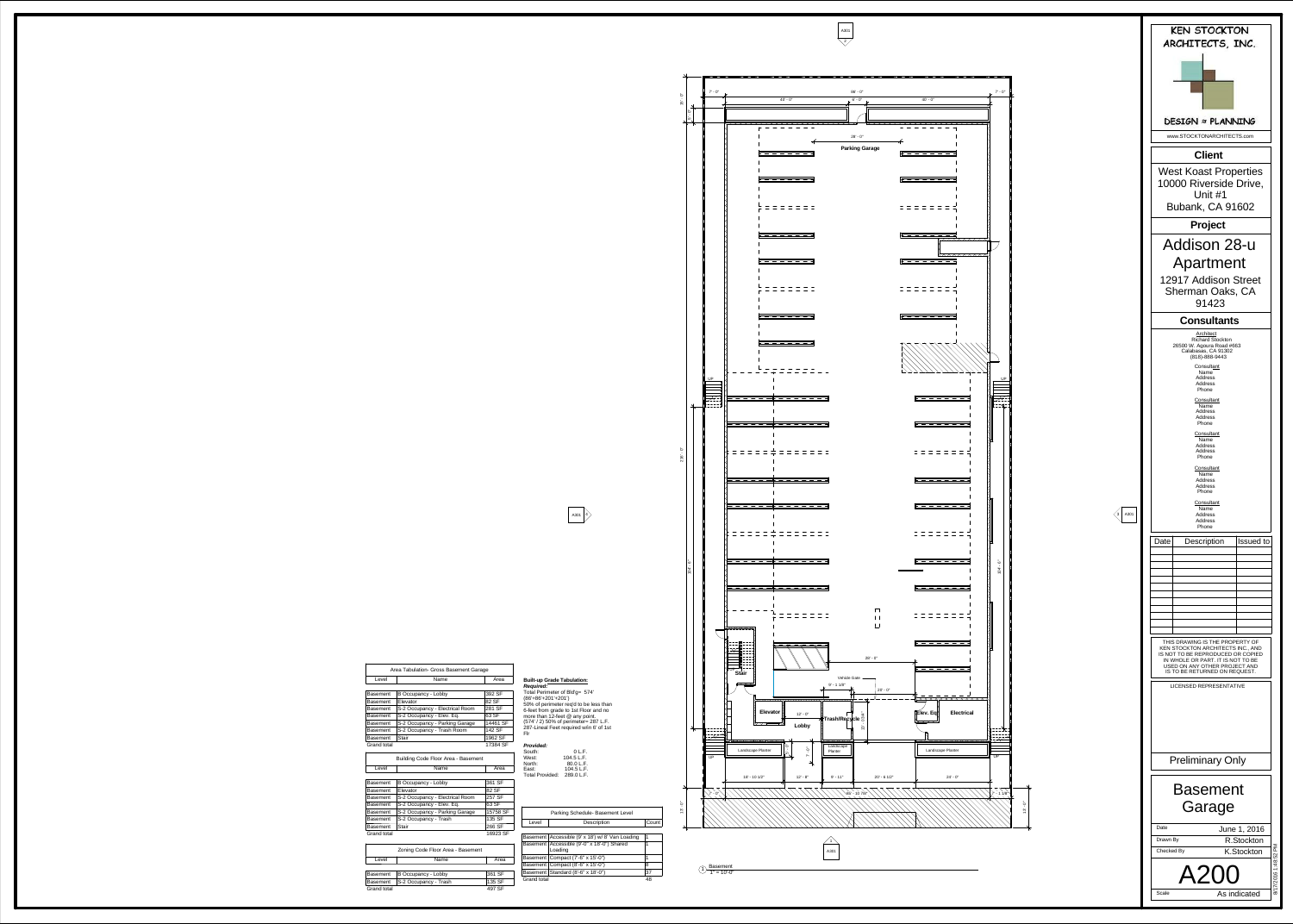A301 2

-A301 4



|              |            | $7' - 0''$    |                                                       |
|--------------|------------|---------------|-------------------------------------------------------|
| $15 - 0''$   |            |               |                                                       |
|              | $5 - 0''$  |               | Х<br>X                                                |
|              |            |               |                                                       |
|              |            |               |                                                       |
|              |            |               |                                                       |
|              |            |               |                                                       |
|              |            |               |                                                       |
|              |            |               |                                                       |
|              |            |               |                                                       |
|              |            |               |                                                       |
|              |            |               |                                                       |
|              |            |               |                                                       |
|              |            |               | $\times$ $\times$ $\times$ $\times$ $\times$ $\times$ |
|              |            |               |                                                       |
|              |            |               | $\leq$                                                |
|              |            |               |                                                       |
|              |            | UP            |                                                       |
|              |            |               |                                                       |
|              |            | $\frac{1}{2}$ |                                                       |
|              |            |               |                                                       |
| $216' - 0''$ |            |               |                                                       |
|              |            |               |                                                       |
|              |            |               |                                                       |
|              |            |               |                                                       |
|              |            |               |                                                       |
|              |            |               |                                                       |
|              |            |               |                                                       |
|              | $104 - 6"$ |               |                                                       |
|              |            |               |                                                       |
|              |            |               |                                                       |
|              |            |               |                                                       |
|              |            |               |                                                       |
|              |            |               | $\mathbf{\mu}$                                        |
|              |            |               | $\overline{U\text{P}}$ Stair                          |
|              |            |               |                                                       |
|              |            |               | Eley                                                  |
|              |            |               |                                                       |
|              |            |               | Landscape Plante                                      |
|              |            | UP            |                                                       |
|              |            |               | 18' - 10 1/2"                                         |
|              |            | $-0"$<br>7    |                                                       |
| $13' - 0''$  |            |               |                                                       |
|              |            |               |                                                       |

## **Built-up Grade Tabulation:**

*Required:* Total Perimeter of Bld'g= 574' (86'+86'+201'+201') 50% of perimeter req'd to be less than 6-feet from grade to 1st Floor and no more than 12-feet @ any point. (574' / 2) 50% of perimeter= 287 L.F. 287-Lineal Feet required w/in 6' of 1st

Flr

| Provided:              |            |
|------------------------|------------|
| South:                 | $0$ L.F.   |
| West:                  | 104.5 L.F. |
| North:                 | 80.0 L.F.  |
| East:                  | 104.5 L.F. |
| <b>Total Provided:</b> | 289.0 L.F. |



|                    | Parking Schedule- Basement Level                 |       |
|--------------------|--------------------------------------------------|-------|
| Level              | <b>Description</b>                               | Count |
|                    |                                                  |       |
|                    | Basement Accessible (9' x 18') w/ 8' Van Loading | 1     |
|                    | Basement   Accessible (9'-0" x 18'-0") Shared    | 1     |
|                    | Loading                                          |       |
|                    | Basement   Compact (7'-6" x 15'-0")              | 1     |
|                    | Basement   Compact (8'-6" x 15'-0")              | 8     |
|                    | Basement Standard (8'-6" x 18'-0")               | 37    |
| <b>Grand total</b> |                                                  |       |

 $\begin{array}{c} \textcircled{1} \ \textcircled{1} \ \textcircled{1} \ \textcircled{2} \ \textcircled{3} \ \textcircled{4} \ \textcircled{4} \ \textcircled{5} \ \textcircled{6} \ \textcircled{7} \ \textcircled{8} \ \textcircled{9} \ \textcircled{9} \ \textcircled{9} \ \textcircled{1} \ \textcircled{9} \ \textcircled{1} \ \textcircled{9} \ \textcircled{1} \ \textcircled{1} \ \textcircled{3} \ \textcircled{4} \ \textcircled{6} \ \textcircled{7} \ \textcircled{9} \ \textcircled{9} \ \textcircled{$ 



Level Basement<br>Basement Grand total 497 SF

| Area Tabulation- Gross Basement Garage |                                            |          |  |
|----------------------------------------|--------------------------------------------|----------|--|
| Level                                  | Name                                       | Area     |  |
|                                        |                                            |          |  |
| Basement                               | <b>B Occupancy - Lobby</b>                 | 392 SF   |  |
| Basement                               | Elevator                                   | 82 SF    |  |
| Basement                               | S-2 Occupancy - Electrical Room            | 281 SF   |  |
| Basement                               | S-2 Occupancy - Elev. Eq.                  | 63 SF    |  |
| Basement                               | S-2 Occupancy - Parking Garage             | 14461 SF |  |
| Basement                               | S-2 Occupancy - Trash Room                 | 142 SF   |  |
| Basement                               | <b>Stair</b>                               | 1962 SF  |  |
| <b>Grand total</b>                     |                                            | 17384 SF |  |
|                                        | <b>Building Code Floor Area - Basement</b> |          |  |
| Level                                  | Name                                       | Area     |  |
|                                        |                                            |          |  |
| Basement                               | <b>B Occupancy - Lobby</b>                 | 361 SF   |  |
| Basement                               | Elevator                                   | 82 SF    |  |
| Basement                               | S-2 Occupancy - Electrical Room            | 257 SF   |  |
| Basement                               | S-2 Occupancy - Elev. Eq.                  | 63 SF    |  |
| Basement                               | S-2 Occupancy - Parking Garage             | 15758 SF |  |
| Basement                               | S-2 Occupancy - Trash                      | 135 SF   |  |
| Basement                               | <b>Stair</b>                               | 266 SF   |  |
| <b>Grand total</b>                     |                                            | 16923 SF |  |
|                                        | Zoning Code Floor Area - Basement          |          |  |
| Level                                  | Name                                       | Area     |  |
|                                        |                                            |          |  |
| Basement                               | <b>B Occupancy - Lobby</b>                 | 361 SF   |  |
| Basement                               | S-2 Occupancy - Trash                      | 135 SF   |  |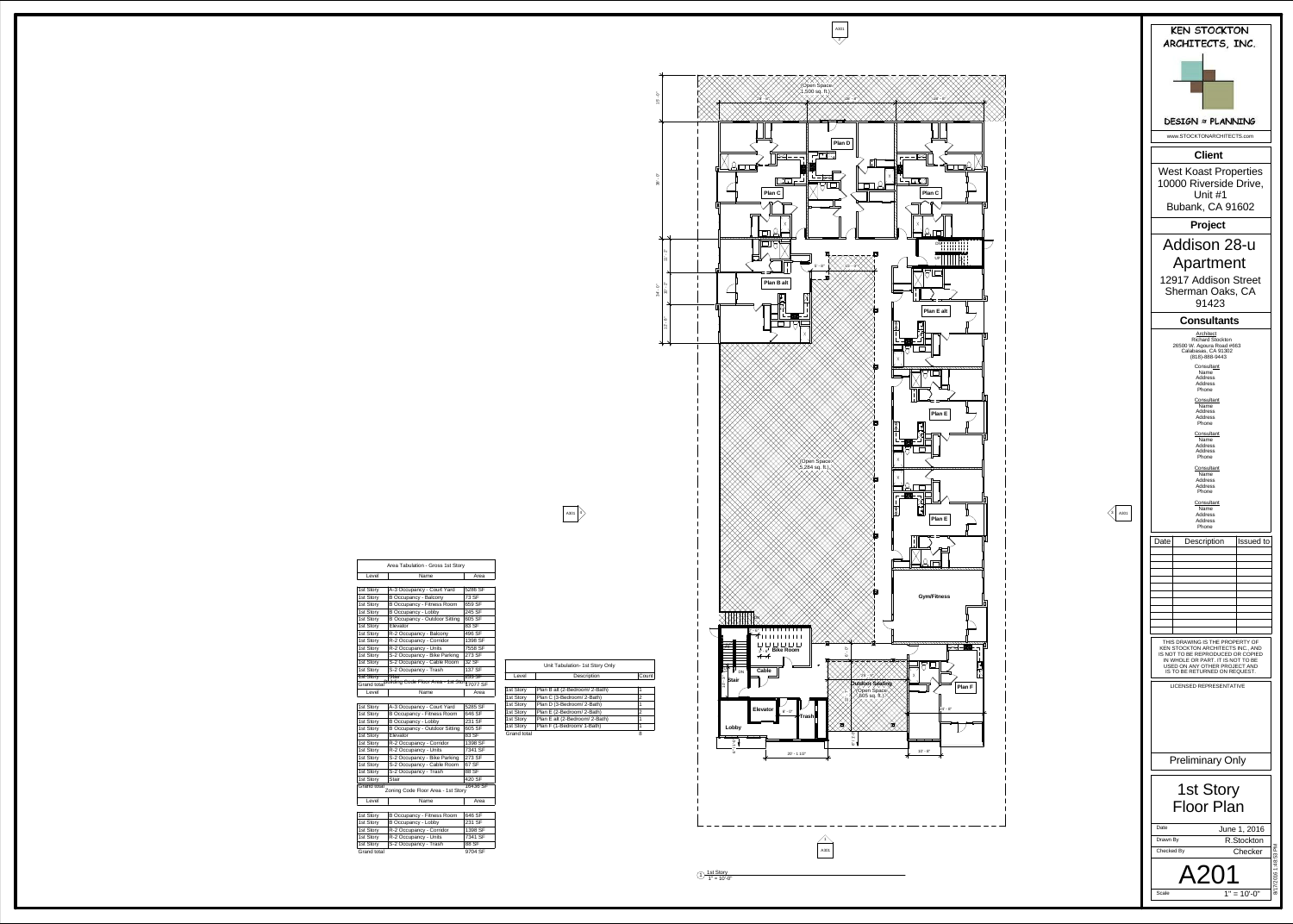| e<br>ev<br>4 |  |
|--------------|--|
|              |  |

| 1st Story  |
|------------|
| 1st Story  |
| 1st Story  |
| 1st Story  |
| 1st Story  |
| Grand tot: |

| .טי                 |
|---------------------|
| <b>1st Story</b>    |
| <b>Grand</b> tota   |
| Level               |
|                     |
| 1st<br>Story        |
| <b>Story</b><br>1st |
| <b>Story</b><br>1st |
| 1st<br>Story        |
| <b>Story</b><br>1st |
| 1st<br><b>Story</b> |
| <b>Story</b><br>1st |
| 1st Story           |
| 1st Story           |
| 1st Story           |
| 1st Story           |
| <b>Grand tota</b>   |

| Story<br>st       |
|-------------------|
| st Story          |
| st Story          |
| st Story          |
| st Story          |
| st Story          |
| st Story          |
| st Story          |
| st Story          |
| st Story          |
| st Story          |
| st Story          |
| st Story          |
| <b>Grand</b> tota |
| Level             |
|                   |

A301

2

 $\frac{4}{1}$ <br>A301

| 4<br>A301 |  |
|-----------|--|
|-----------|--|







|                    | Unit Tabulation- 1st Story Only |       |
|--------------------|---------------------------------|-------|
| Level              | <b>Description</b>              | Count |
|                    |                                 |       |
| 1st Story          | Plan B alt (2-Bedroom/ 2-Bath)  | 1     |
| 1st Story          | Plan C (3-Bedroom/ 2-Bath)      | 2     |
| 1st Story          | Plan D (3-Bedroom/ 2-Bath)      | 1     |
| 1st Story          | Plan E (2-Bedroom/ 2-Bath)      | 2     |
| 1st Story          | Plan E alt (2-Bedroom/ 2-Bath)  | 1     |
| 1st Story          | Plan F (1-Bedroom/ 1-Bath)      | 1     |
| <b>Grand total</b> |                                 | 8     |

| Area Tabulation - Gross 1st Story                                    |                                                         |         |  |
|----------------------------------------------------------------------|---------------------------------------------------------|---------|--|
| Level<br>Name                                                        |                                                         | Area    |  |
|                                                                      |                                                         |         |  |
| 1st Story                                                            | A-3 Occupancy - Court Yard                              | 5286 SF |  |
| 1st Story                                                            | <b>B Occupancy - Balcony</b>                            | 73 SF   |  |
| 1st Story                                                            | <b>B Occupancy - Fitness Room</b>                       | 659 SF  |  |
| 1st Story                                                            | <b>B Occupancy - Lobby</b>                              | 245 SF  |  |
| 1st Story                                                            | <b>B Occupancy - Outdoor Sitting</b>                    | 605 SF  |  |
| 1st Story                                                            | Elevator                                                | 83 SF   |  |
| 1st Story                                                            | R-2 Occupancy - Balcony                                 | 496 SF  |  |
| 1st Story                                                            | R-2 Occupancy - Corridor                                | 1398 SF |  |
| 1st Story                                                            | R-2 Occupancy - Units                                   | 7558 SF |  |
| 1st Story                                                            | S-2 Occupancy - Bike Parking                            | 273 SF  |  |
| 1st Story                                                            | S-2 Occupancy - Cable Room                              | 32 SF   |  |
| 1st Story                                                            | S-2 Occupancy - Trash                                   | 137 SF  |  |
| <b>1st Story</b>                                                     | <b>Stair</b>                                            | 233 SF  |  |
|                                                                      | Grand totalBuilding Code Floor Area - 1st Story 7077 SF |         |  |
| Level                                                                | Name                                                    | Area    |  |
|                                                                      |                                                         |         |  |
| 1st Story                                                            | A-3 Occupancy - Court Yard                              | 5285 SF |  |
| 1st Story                                                            | <b>B Occupancy - Fitness Room</b>                       | 646 SF  |  |
| 1st Story                                                            | <b>B Occupancy - Lobby</b>                              | 231 SF  |  |
| 1st Story                                                            | <b>B Occupancy - Outdoor Sitting</b>                    | 605 SF  |  |
| 1st Story                                                            | Elevator                                                | 83 SF   |  |
| 1st Story                                                            | R-2 Occupancy - Corridor                                | 1398 SF |  |
| 1st Story                                                            | R-2 Occupancy - Units                                   | 7341 SF |  |
| 1st Story                                                            | S-2 Occupancy - Bike Parking                            | 273 SF  |  |
| 1st Story                                                            | S-2 Occupancy - Cable Room                              | 67 SF   |  |
| 1st Story                                                            | S-2 Occupancy - Trash                                   | 88 SF   |  |
| 1st Story                                                            | <b>Stair</b>                                            | 420 SF  |  |
| <b>Grand total</b><br>16436 SF<br>Zoning Code Floor Area - 1st Story |                                                         |         |  |
| Level                                                                | Name                                                    | Area    |  |
|                                                                      |                                                         |         |  |
| 1st Story                                                            | <b>B Occupancy - Fitness Room</b>                       | 646 SF  |  |
| 1st Story                                                            | <b>B Occupancy - Lobby</b>                              | 231 SF  |  |
| 1st Story                                                            | R-2 Occupancy - Corridor                                | 1398 SF |  |
| 1st Story                                                            | R-2 Occupancy - Units                                   | 7341 SF |  |
| 1st Story                                                            | S-2 Occupancy - Trash                                   | 88 SF   |  |
| <b>Grand total</b>                                                   |                                                         | 9704 SF |  |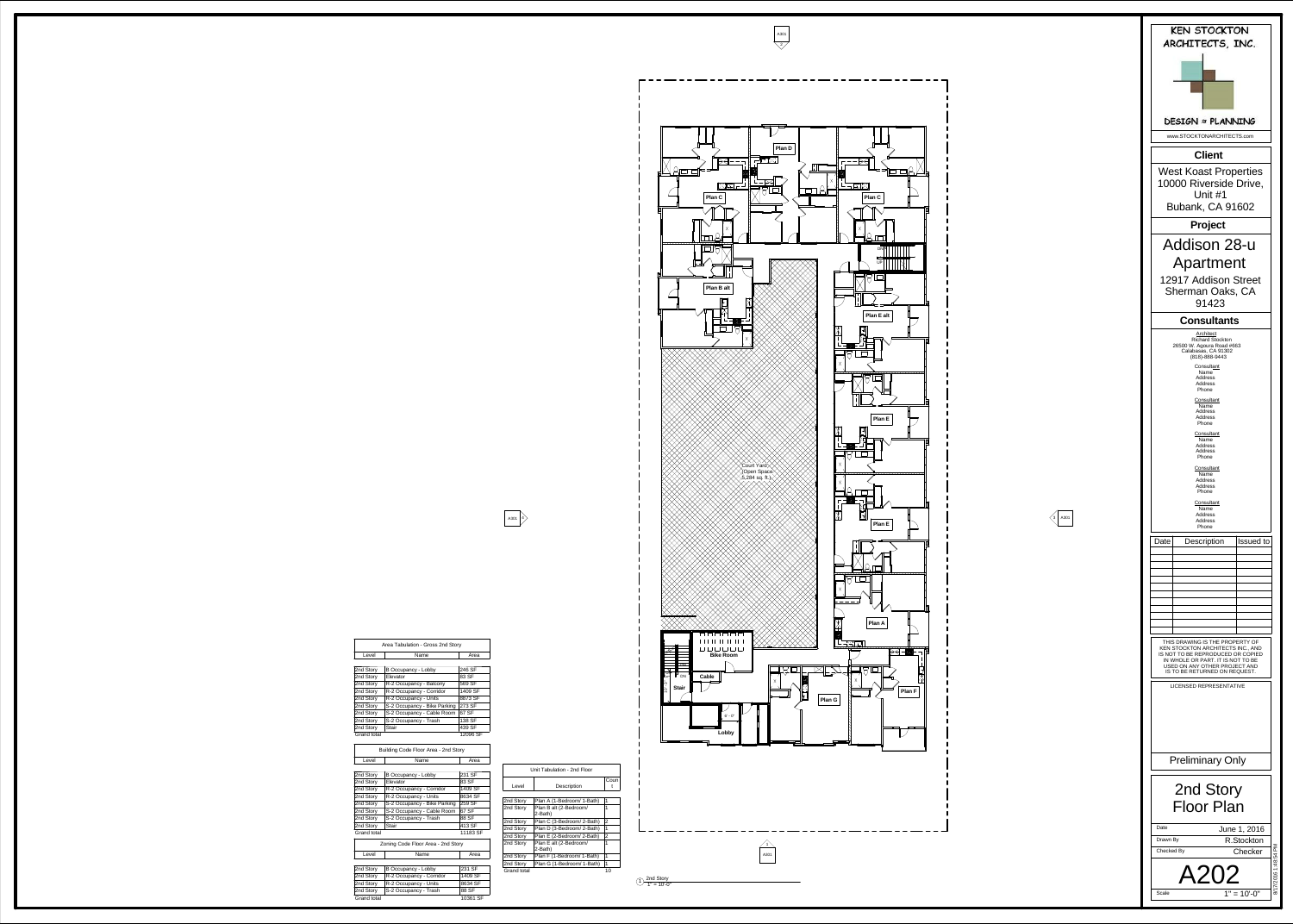A301



| ō<br>Ο                                              | $\mathbb{L}^{\overline{\mathcal{A}}}$<br><u>أ.</u><br>Plan C<br>$\overline{\chi}$ | T<br>J.                                       |
|-----------------------------------------------------|-----------------------------------------------------------------------------------|-----------------------------------------------|
| 囥                                                   | <b>Plan B alt</b><br>$\frac{1}{2}$                                                | 鹽<br>Χ                                        |
|                                                     |                                                                                   | ∑Court Yard<br>√Open Space<br>√5,284 sq. ft.) |
|                                                     |                                                                                   |                                               |
|                                                     | <b>Bike Room</b>                                                                  | R                                             |
| ĐΝ<br>덊<br>U<br>DN<br>స్<br>f,<br><b>Stair</b><br>Ō | ╫<br><b>Cable</b><br>⊢<br>$6^\circ$ - $0^\circ$<br>Lobby                          |                                               |
|                                                     |                                                                                   |                                               |

 $\begin{array}{c} \text{(1)} \ \text{(2)} \ \text{(2)} \ \text{(3)} \ \text{(4)} \ \text{(4)} \ \text{(5)} \ \text{(6)} \ \text{(7)} \ \text{(8)} \ \text{(9)} \ \text{(1)} \ \text{(1)} \ \text{(1)} \ \text{(1)} \ \text{(1)} \ \text{(1)} \ \text{(1)} \ \text{(1)} \ \text{(1)} \ \text{(1)} \ \text{(1)} \ \text{(1)} \ \text{(1)} \ \text{(1)} \ \text{(1)} \ \text{(1)} \ \text{(1)} \ \text{(1)} \ \text{(1)} \ \text{(1)} \ \text{(1)} \ \text{(1)} \ \text{(1)} \ \text{(1)} \ \text{($ 



| Unit Tabulation - 2nd Floor |                                   |                |  |
|-----------------------------|-----------------------------------|----------------|--|
| Level                       | <b>Description</b>                | Coun           |  |
|                             |                                   |                |  |
| 2nd Story                   | Plan A (1-Bedroom/ 1-Bath)        | 1              |  |
| 2nd Story                   | Plan B alt (2-Bedroom/<br>2-Bath) | 1              |  |
| 2nd Story                   | Plan C (3-Bedroom/ 2-Bath)        | $\overline{2}$ |  |
| 2nd Story                   | Plan D (3-Bedroom/ 2-Bath)        | 1              |  |
| 2nd Story                   | Plan E (2-Bedroom/ 2-Bath)        | $\overline{2}$ |  |
| 2nd Story                   | Plan E alt (2-Bedroom/<br>2-Bath) | 1              |  |
| 2nd Story                   | Plan F (1-Bedroom/ 1-Bath)        | 1              |  |
| 2nd Story                   | Plan G (1-Bedroom/ 1-Bath)        | 1              |  |
| Grand total                 |                                   | 10             |  |
|                             |                                   |                |  |

A301 | 4

Area Tabulation - Gross 2nd Story

Area

| Level                                | Name                         | Area     |  |  |
|--------------------------------------|------------------------------|----------|--|--|
|                                      |                              |          |  |  |
| 2nd Story                            | <b>B Occupancy - Lobby</b>   | 246 SF   |  |  |
| 2nd Story                            | Elevator                     | 83 SF    |  |  |
| 2nd Story                            | R-2 Occupancy - Balcony      | 569 SF   |  |  |
| 2nd Story                            | R-2 Occupancy - Corridor     | 1409 SF  |  |  |
| 2nd Story                            | R-2 Occupancy - Units        | 8873 SF  |  |  |
| 2nd Story                            | S-2 Occupancy - Bike Parking | 273 SF   |  |  |
| 2nd Story                            | S-2 Occupancy - Cable Room   | 67 SF    |  |  |
| 2nd Story                            | S-2 Occupancy - Trash        | 138 SF   |  |  |
| 2nd Story                            | <b>Stair</b>                 | 439 SF   |  |  |
| <b>Grand total</b>                   |                              | 12096 SF |  |  |
|                                      |                              |          |  |  |
| Building Code Floor Area - 2nd Story |                              |          |  |  |
| Level                                | Name                         | Area     |  |  |
|                                      |                              |          |  |  |

| 2nd Story   |
|-------------|
| 2nd Story   |
| 2nd Story   |
| 2nd Story   |
| 2nd Story   |
| 2nd Story   |
| 2nd Story   |
| 2nd Story   |
| Grand total |
|             |
|             |
|             |

Level

| <b>Grand total</b>                          |                              | 12096 SF |  |  |
|---------------------------------------------|------------------------------|----------|--|--|
| <b>Building Code Floor Area - 2nd Story</b> |                              |          |  |  |
| Level                                       | Name                         | Area     |  |  |
|                                             |                              |          |  |  |
| 2nd Story                                   | <b>B Occupancy - Lobby</b>   | 231 SF   |  |  |
| 2nd Story                                   | Elevator                     | 83 SF    |  |  |
| 2nd Story                                   | R-2 Occupancy - Corridor     | 1409 SF  |  |  |
| 2nd Story                                   | R-2 Occupancy - Units        | 8634 SF  |  |  |
| 2nd Story                                   | S-2 Occupancy - Bike Parking | 259 SF   |  |  |
| 2nd Story                                   | S-2 Occupancy - Cable Room   | 67 SF    |  |  |
| 2nd Story                                   | S-2 Occupancy - Trash        | 88 SF    |  |  |
| 2nd Story                                   | <b>Stair</b>                 | 413 SF   |  |  |
| <b>Grand total</b>                          |                              | 11183 SF |  |  |
| Zoning Code Floor Area - 2nd Story          |                              |          |  |  |
| Level                                       | Name                         | Area     |  |  |
|                                             |                              |          |  |  |
| 2nd Story                                   | <b>B Occupancy - Lobby</b>   | 231 SF   |  |  |
| 2nd Story                                   | R-2 Occupancy - Corridor     | 1409 SF  |  |  |
| 2nd Story                                   | R-2 Occupancy - Units        | 8634 SF  |  |  |
| 2nd Story                                   | S-2 Occupancy - Trash        | 88 SF    |  |  |
| <b>Grand total</b>                          |                              | 10361 SF |  |  |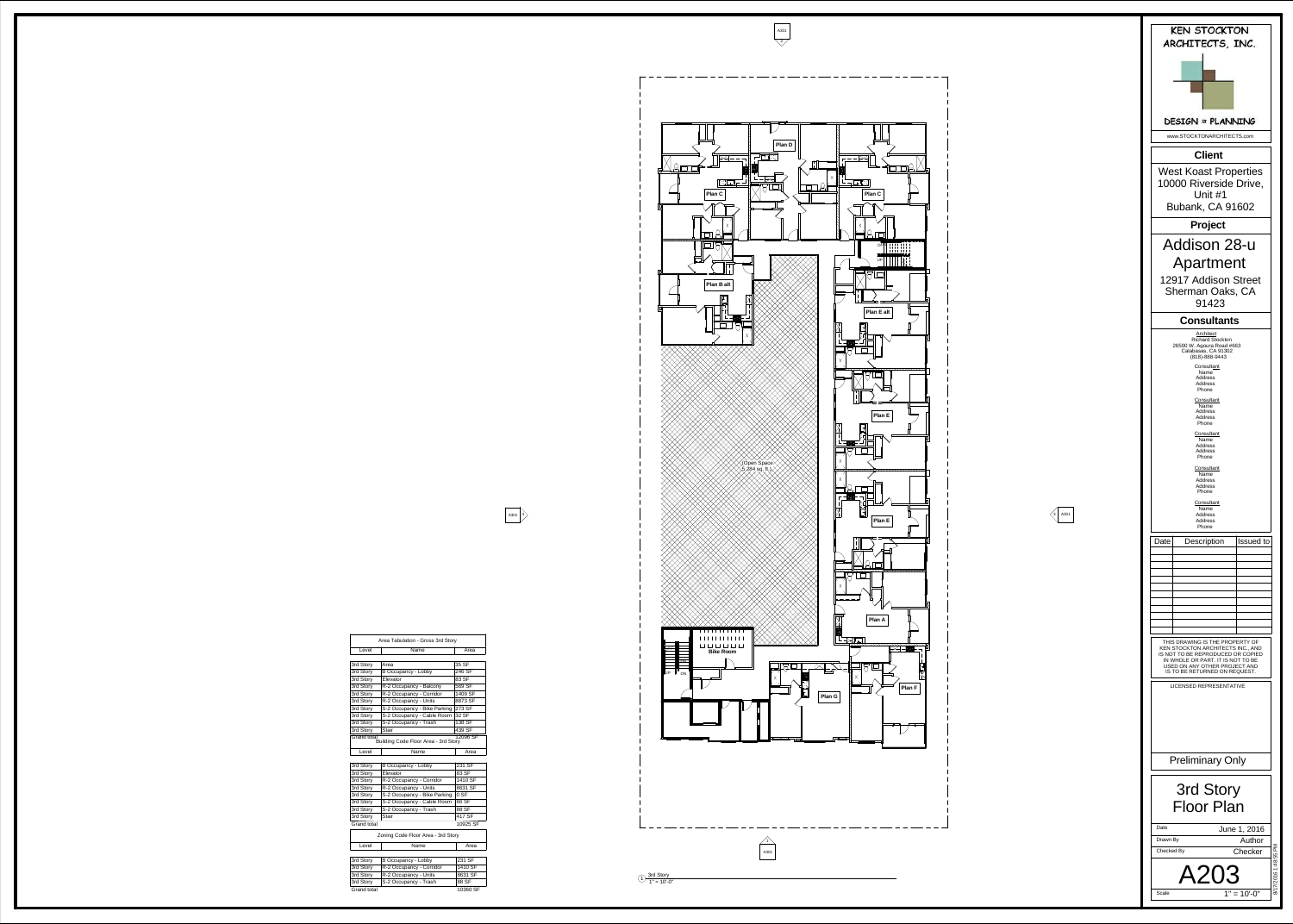| A301 |
|------|
|------|



 $\underline{1}$   $\begin{array}{c} \text{3rd Story} \\ \text{1" = 10'-0" \end{array}$ 

 $\frac{4}{1}$ <br>A301



| Area Tabulation - Gross 3rd Story                               |                              |          |  |  |  |
|-----------------------------------------------------------------|------------------------------|----------|--|--|--|
| Level                                                           | Name                         | Area     |  |  |  |
|                                                                 |                              |          |  |  |  |
| 3rd Story                                                       | Area                         | 35 SF    |  |  |  |
| 3rd Story                                                       | <b>B Occupancy - Lobby</b>   | 246 SF   |  |  |  |
| 3rd Story                                                       | Elevator                     | 83 SF    |  |  |  |
| 3rd Story                                                       | R-2 Occupancy - Balcony      | 569 SF   |  |  |  |
| 3rd Story                                                       | R-2 Occupancy - Corridor     | 1409 SF  |  |  |  |
| 3rd Story                                                       | R-2 Occupancy - Units        | 8873 SF  |  |  |  |
| 3rd Story                                                       | S-2 Occupancy - Bike Parking | 273 SF   |  |  |  |
| 3rd Story                                                       | S-2 Occupancy - Cable Room   | 32 SF    |  |  |  |
| 3rd Story                                                       | S-2 Occupancy - Trash        | 138 SF   |  |  |  |
| 3rd Story                                                       | <b>Stair</b>                 | 439 SF   |  |  |  |
| Grand total<br>12096 SF<br>Building Code Floor Area - 3rd Story |                              |          |  |  |  |
| Level                                                           | Name                         | Area     |  |  |  |
|                                                                 |                              |          |  |  |  |
| 3rd Story                                                       | <b>B Occupancy - Lobby</b>   | 231 SF   |  |  |  |
| 3rd Story                                                       | Elevator                     | 83 SF    |  |  |  |
| 3rd Story                                                       | R-2 Occupancy - Corridor     | 1410 SF  |  |  |  |
| 3rd Story                                                       | R-2 Occupancy - Units        | 8631 SF  |  |  |  |
| 3rd Story                                                       | S-2 Occupancy - Bike Parking | 0 S F    |  |  |  |
| 3rd Story                                                       | S-2 Occupancy - Cable Room   | 66 SF    |  |  |  |
| 3rd Story                                                       | S-2 Occupancy - Trash        | 88 SF    |  |  |  |
| 3rd Story                                                       | <b>Stair</b>                 | 417 SF   |  |  |  |
| <b>Grand total</b>                                              |                              | 10925 SF |  |  |  |
| Zoning Code Floor Area - 3rd Story                              |                              |          |  |  |  |
| Level                                                           | Name                         | Area     |  |  |  |
|                                                                 |                              |          |  |  |  |
| 3rd Story                                                       | <b>B Occupancy - Lobby</b>   | 231 SF   |  |  |  |
| 3rd Story                                                       | R-2 Occupancy - Corridor     | 1410 SF  |  |  |  |
| 3rd Story                                                       | R-2 Occupancy - Units        | 8631 SF  |  |  |  |
| 3rd Story                                                       | S-2 Occupancy - Trash        | 88 SF    |  |  |  |

Grand total 10360 SF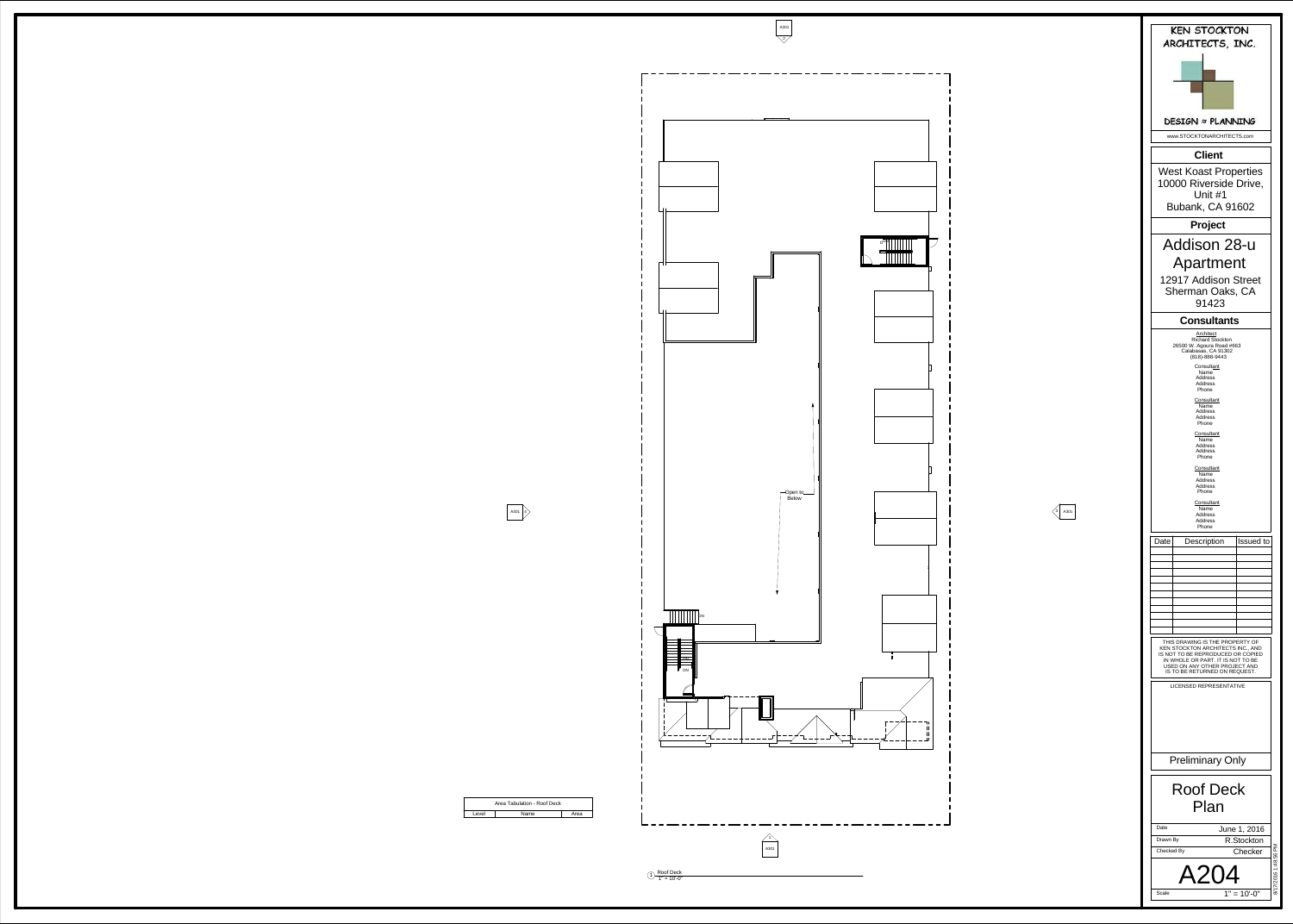



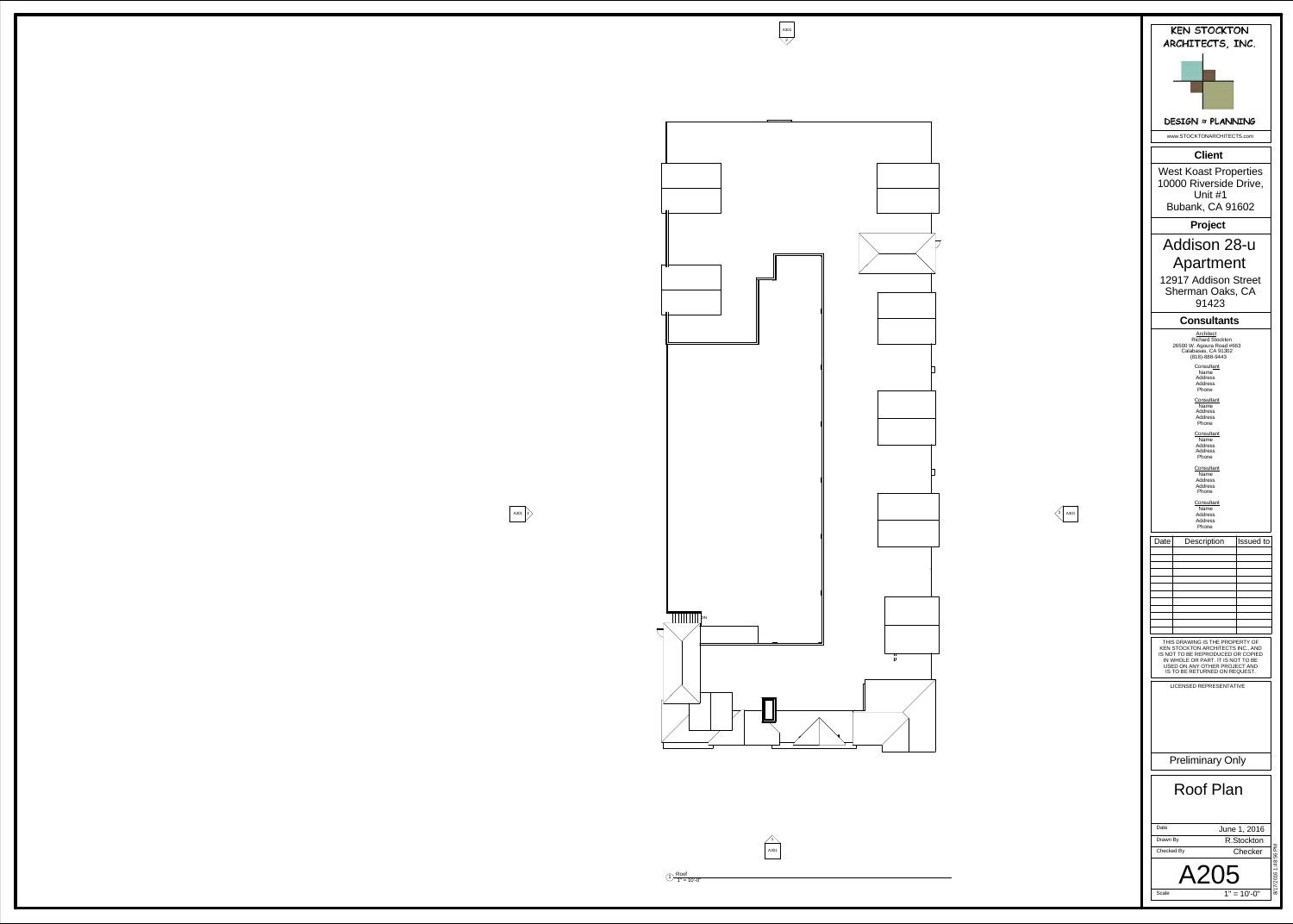



A301

 $\begin{array}{c} \text{(1)} \ \text{(2)} \ \text{(3)} \ \text{(4)} \ \text{(4)} \ \text{(5)} \ \text{(6)} \ \text{(7)} \ \text{(8)} \ \text{(9)} \ \text{(9)} \ \text{(1)} \ \text{(1)} \ \text{(1)} \ \text{(1)} \ \text{(1)} \ \text{(1)} \ \text{(1)} \ \text{(1)} \ \text{(1)} \ \text{(1)} \ \text{(1)} \ \text{(1)} \ \text{(1)} \ \text{(1)} \ \text{(1)} \ \text{(1)} \ \text{(1)} \ \text{(1)} \ \text{(1)} \ \text{(1)} \ \text{(1)} \ \text{(1)} \ \text{(1)} \ \text{(1)} \ \text{($ 

![](_page_6_Picture_3.jpeg)

 $\frac{4}{1}$ <br>A301

![](_page_6_Figure_12.jpeg)